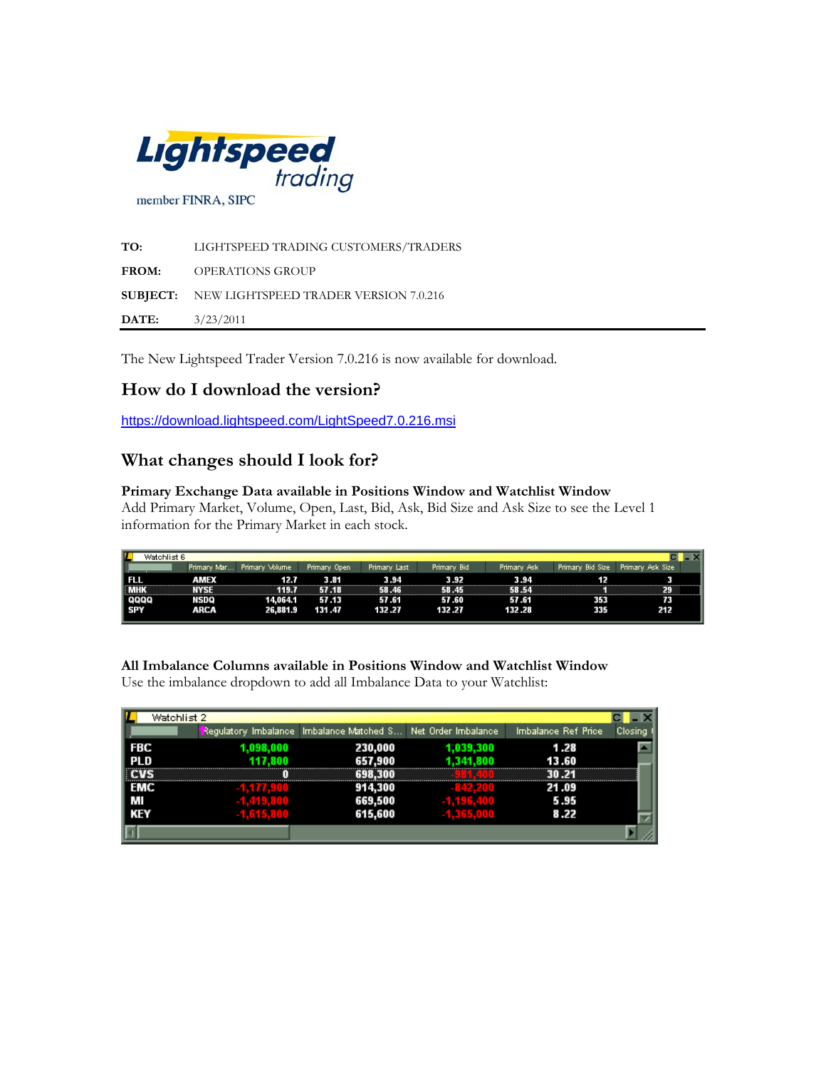

**TO:** LIGHTSPEED TRADING CUSTOMERS/TRADERS **FROM:** OPERATIONS GROUP **SUBJECT:** NEW LIGHTSPEED TRADER VERSION 7.0.216 **DATE:** 3/23/2011

The New Lightspeed Trader Version 7.0.216 is now available for download.

# **How do I download the version?**

<https://download.lightspeed.com/LightSpeed7.0.216.msi>

# **What changes should I look for?**

#### **Primary Exchange Data available in Positions Window and Watchlist Window**

Add Primary Market, Volume, Open, Last, Bid, Ask, Bid Size and Ask Size to see the Level 1 information for the Primary Market in each stock.

| п<br>Watchlist 6 |             |                |              |              |             |             |                  |                  |  |
|------------------|-------------|----------------|--------------|--------------|-------------|-------------|------------------|------------------|--|
|                  | Primary Mar | Primary Volume | Primary Open | Primary Last | Primary Bid | Primary Ask | Primary Bid Size | Primary Ask Size |  |
| ш                | AMEX        | 12.7           | 3.81         | 3.94         | 3.92        | 3.94        | 12               |                  |  |
| <b>TMHK</b>      | IVSE        | 119.7          | 57.18        | .46          | .45         | 58.54       |                  | 29               |  |
| QQQQ<br>  SPY    | NSDQ        | 14.064.1       | 57.13        | 57.61        | 57.60       | 57.61       | 353              | 73               |  |
|                  | ARCA        | 26.881.9       | 131.47       | 132.27       | 132.27      | 132.28      | 335              | 212              |  |

**All Imbalance Columns available in Positions Window and Watchlist Window**  Use the imbalance dropdown to add all Imbalance Data to your Watchlist:

| Watchlist 2 |           |                                                              |           |                     |         |
|-------------|-----------|--------------------------------------------------------------|-----------|---------------------|---------|
|             |           | Regulatory Imbalance Imbalance Matched S Net Order Imbalance |           | Imbalance Ref Price | Closing |
| ∣ FBC       | 1.098.000 | 230,000                                                      | 1,039,300 | 1.28                |         |
| PL D        | 117.800   | 657,900                                                      | 1.341.800 | 13.60               |         |
|             |           | 69                                                           |           |                     |         |
| EMC         |           | 914,300                                                      |           | 21.09               |         |
| l Mi        |           | 669,500                                                      |           | 5.95                |         |
| KEY         |           | 615,600                                                      |           | 8.22                |         |
|             |           |                                                              |           |                     |         |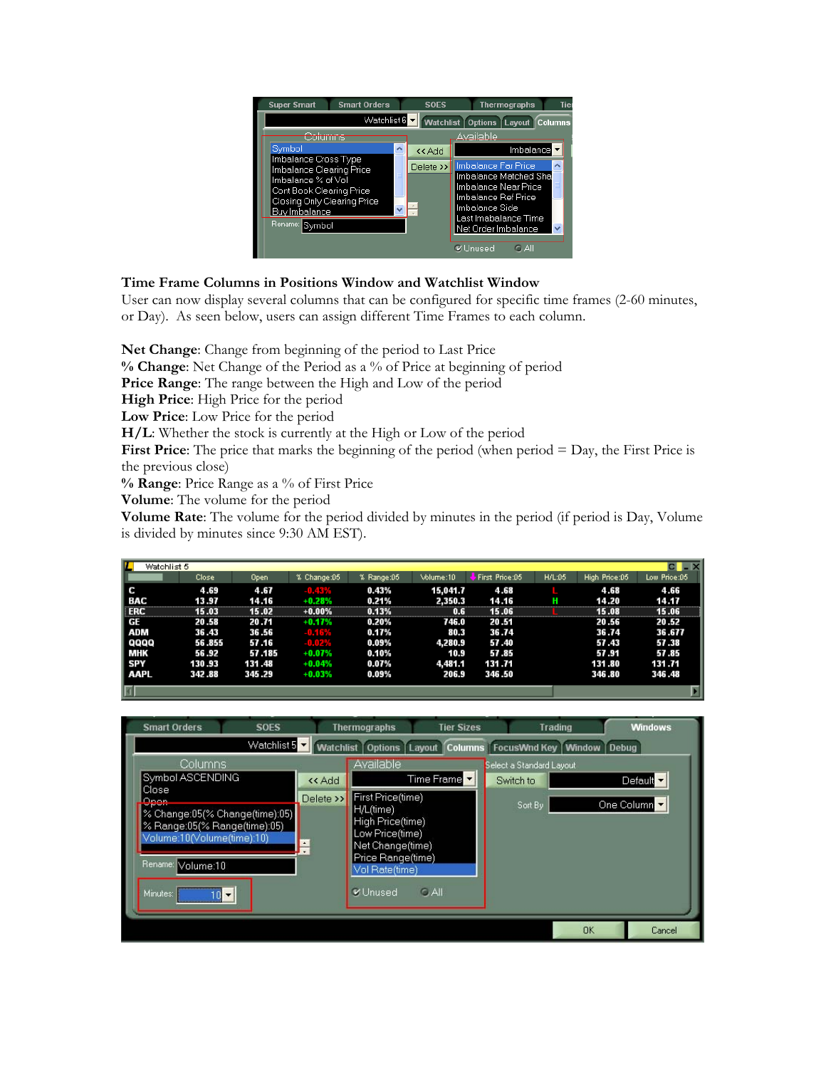

## **Time Frame Columns in Positions Window and Watchlist Window**

User can now display several columns that can be configured for specific time frames (2-60 minutes, or Day). As seen below, users can assign different Time Frames to each column.

**Net Change**: Change from beginning of the period to Last Price

**% Change**: Net Change of the Period as a % of Price at beginning of period

**Price Range**: The range between the High and Low of the period

**High Price**: High Price for the period

**Low Price**: Low Price for the period

**H/L**: Whether the stock is currently at the High or Low of the period

**First Price**: The price that marks the beginning of the period (when period = Day, the First Price is the previous close)

**% Range**: Price Range as a % of First Price

**Volume**: The volume for the period

**Volume Rate**: The volume for the period divided by minutes in the period (if period is Day, Volume is divided by minutes since 9:30 AM EST).

| L<br>Watchlist 5 |        |        |             |            |           |                |        |               |              |
|------------------|--------|--------|-------------|------------|-----------|----------------|--------|---------------|--------------|
|                  | Close  | Open.  | % Change:05 | % Range:05 | Volume:10 | First Price:05 | H/L:05 | High Price:05 | Low Price:05 |
| ΙC               | 4.69   | 4.67   | -0.43%      | 0.43%      | 15,041.7  | 4.68           |        | 4.68          | 4.66         |
| ∣ BAC            | 13.97  | 14.16  | $+0.28%$    | 0.21%      | 2,350.3   | 14.16          |        | 14.20         | 14.17        |
| <b>ERC</b>       | 15.03  | 15.02  | $+0.00%$    | 0.13%      | 0.6       | 15.06          |        | 15.08         | 15.06        |
| I GE             | 20.58  | 20.71  | $+0.17%$    | 0.20%      | 746.0     | 20.51          |        | 20.56         | 20.52        |
| ADM              | 36.43  | 36.56  | $-0.16\%$   | 0.17%      | 80.3      | 36.74          |        | 36.74         | 36.677       |
| QQQQ             | 56.855 | 57.16  | -0.02%      | $0.09\%$   | 4,280.9   | 57.40          |        | 57.43         | 57.38        |
| MHK              | 56.92  | 57.185 | $+0.07%$    | 0.10%      | 10.9      | 57.85          |        | 57.91         | 57.85        |
| SPY              | 130.93 | 131.48 | $+0.04%$    | 0.07%      | 4,481.1   | 131.71         |        | 131.80        | 131.71       |
| i aapl           | 342.88 | 345.29 | $+0.03%$    | 0.09%      | 206.9     | 346.50         |        | 346.80        | 346.48       |
| lad              |        |        |             |            |           |                |        |               | ы            |

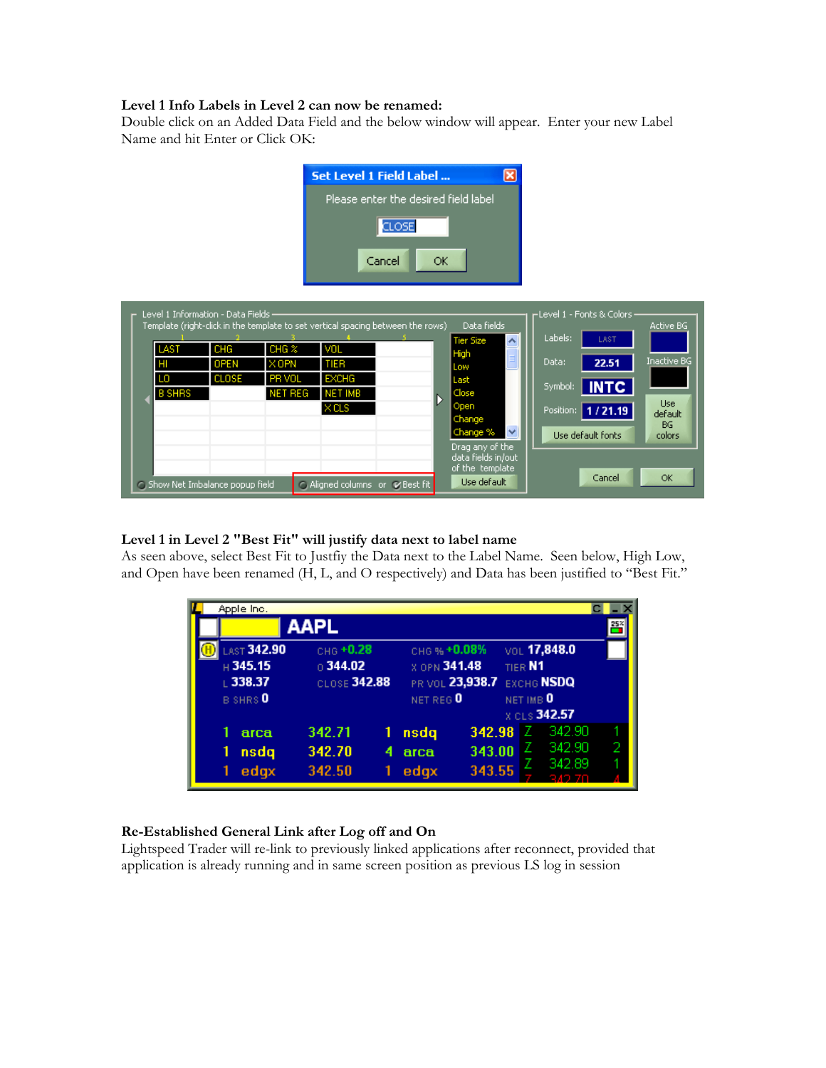### **Level 1 Info Labels in Level 2 can now be renamed:**

Double click on an Added Data Field and the below window will appear. Enter your new Label Name and hit Enter or Click OK:



|                   |               | Level 1 Information - Data Fields - |                                                              |                                                               | Template (right-click in the template to set vertical spacing between the rows) | Data fields                                                                                                   | r Level 1 - Fonts & Colors∙                                                          | Active BG                                   |
|-------------------|---------------|-------------------------------------|--------------------------------------------------------------|---------------------------------------------------------------|---------------------------------------------------------------------------------|---------------------------------------------------------------------------------------------------------------|--------------------------------------------------------------------------------------|---------------------------------------------|
| LAST<br>нı<br>LO. | <b>B SHRS</b> | CHG<br><b>OPEN</b><br><b>CLOSE</b>  | CHG <sub>2</sub><br>$\times$ OPN<br>PR VOL<br><b>NET REG</b> | VOL<br>TIER<br><b>EXCHG</b><br><b>NET IMB</b><br>$\times$ CLS |                                                                                 | <b>Tier Size</b><br>$\blacktriangle$<br>High<br>Low<br>Last<br>Close<br>Open                                  | Labels:<br>LAST<br>Data:<br>22.51<br>  INTC<br>Symbol:<br>  1 / 21.19  <br>Position: | <b>Inactive BG</b><br><b>Use</b><br>default |
|                   |               | Show Net Imbalance popup field      |                                                              |                                                               | Aligned columns or Mest fit                                                     | Change<br>$\checkmark$<br>Change %<br>Drag any of the<br>data fields in/out<br>of the template<br>Use default | Use default fonts<br>Cancel                                                          | <b>BG</b><br>colors<br><b>OK</b>            |

#### **Level 1 in Level 2 "Best Fit" will justify data next to label name**

As seen above, select Best Fit to Justfiy the Data next to the Label Name. Seen below, High Low, and Open have been renamed (H, L, and O respectively) and Data has been justified to "Best Fit."

| Apple Inc.           |              |   |                      |                            |           |              |     |
|----------------------|--------------|---|----------------------|----------------------------|-----------|--------------|-----|
|                      | <b>AAPL</b>  |   |                      |                            |           |              | 25% |
| <b>LAST 342.90</b>   | CHG +0.28    |   | сном +0.08%          |                            |           | VOL 17,848.0 |     |
| $\, \boxplus$ 345.15 | 0.344.02     |   | X OPN 341.48         |                            | TIER N1   |              |     |
| $\perp$ 338.37       | CLOSE 342.88 |   |                      | PR VOL 23,938.7 EXCHG NSDQ |           |              |     |
| B SHRS <sup>O</sup>  |              |   | NET REG <sup>O</sup> |                            | NET IMB O |              |     |
|                      |              |   |                      |                            |           | X CLS 342.57 |     |
| arca                 | 342.71       |   | nsdq                 | 342.98                     | z         | 342.90       |     |
| nsdq                 | 342.70       | 4 | arca                 | 343.00                     |           | 342.90       |     |
| edgx                 | 342.50       |   | edgx                 | 343.55                     |           | 342.89       |     |
|                      |              |   |                      |                            |           |              |     |

#### **Re-Established General Link after Log off and On**

Lightspeed Trader will re-link to previously linked applications after reconnect, provided that application is already running and in same screen position as previous LS log in session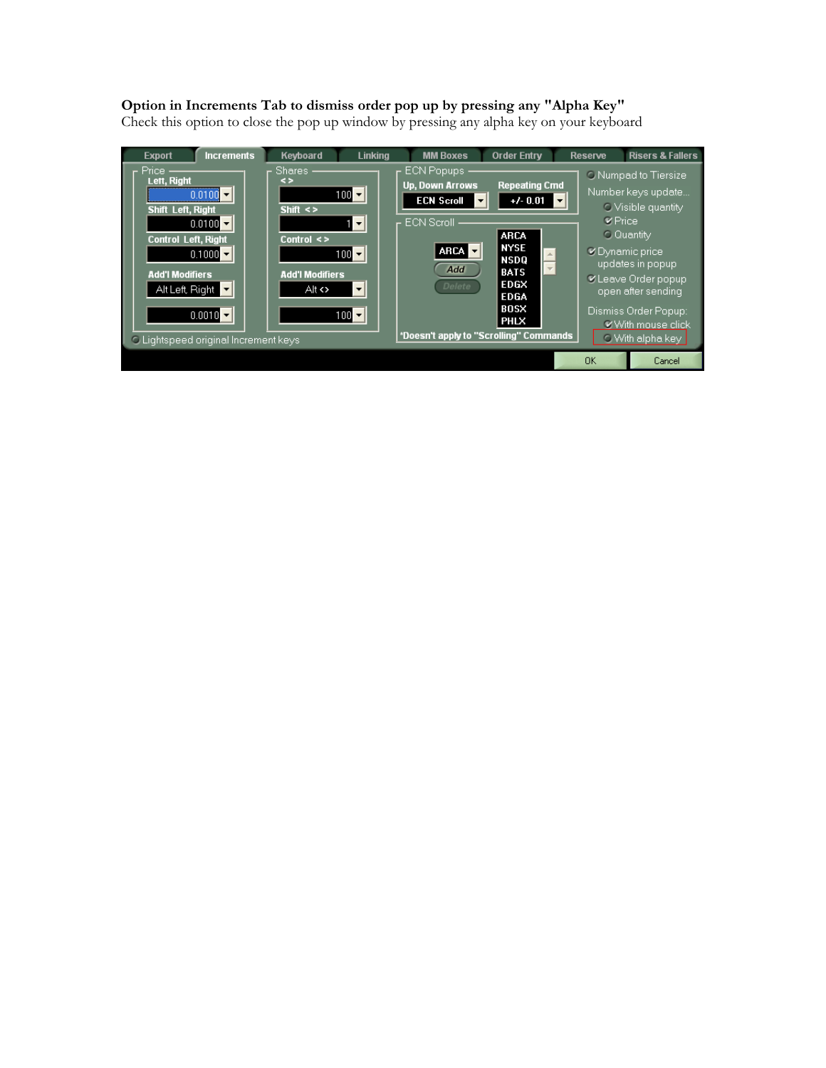## **Option in Increments Tab to dismiss order pop up by pressing any "Alpha Key"**

Check this option to close the pop up window by pressing any alpha key on your keyboard